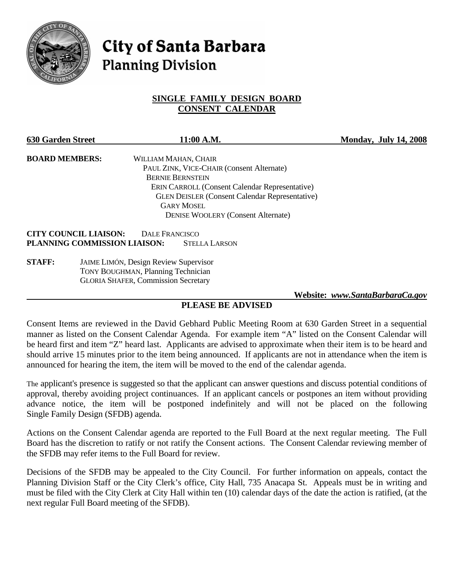

# City of Santa Barbara **Planning Division**

#### **SINGLE FAMILY DESIGN BOARD CONSENT CALENDAR**

| <b>630 Garden Street</b>     | 11:00 A.M.                                            | <b>Monday, July 14, 2008</b> |
|------------------------------|-------------------------------------------------------|------------------------------|
| <b>BOARD MEMBERS:</b>        | WILLIAM MAHAN, CHAIR                                  |                              |
|                              | PAUL ZINK, VICE-CHAIR (Consent Alternate)             |                              |
|                              | <b>BERNIE BERNSTEIN</b>                               |                              |
|                              | <b>ERIN CARROLL (Consent Calendar Representative)</b> |                              |
|                              | <b>GLEN DEISLER (Consent Calendar Representative)</b> |                              |
|                              | <b>GARY MOSEL</b>                                     |                              |
|                              | <b>DENISE WOOLERY (Consent Alternate)</b>             |                              |
| <b>CITY COUNCIL LIAISON:</b> | DALE FRANCISCO                                        |                              |
| PLANNING COMMISSION LIAISON: | <b>STELLA LARSON</b>                                  |                              |
| <b>STAFF:</b>                | <b>JAIME LIMÓN, Design Review Supervisor</b>          |                              |

 TONY BOUGHMAN, Planning Technician GLORIA SHAFER, Commission Secretary

 **Website:** *www.SantaBarbaraCa.gov*

#### **PLEASE BE ADVISED**

Consent Items are reviewed in the David Gebhard Public Meeting Room at 630 Garden Street in a sequential manner as listed on the Consent Calendar Agenda. For example item "A" listed on the Consent Calendar will be heard first and item "Z" heard last. Applicants are advised to approximate when their item is to be heard and should arrive 15 minutes prior to the item being announced. If applicants are not in attendance when the item is announced for hearing the item, the item will be moved to the end of the calendar agenda.

The applicant's presence is suggested so that the applicant can answer questions and discuss potential conditions of approval, thereby avoiding project continuances. If an applicant cancels or postpones an item without providing advance notice, the item will be postponed indefinitely and will not be placed on the following Single Family Design (SFDB) agenda.

Actions on the Consent Calendar agenda are reported to the Full Board at the next regular meeting. The Full Board has the discretion to ratify or not ratify the Consent actions. The Consent Calendar reviewing member of the SFDB may refer items to the Full Board for review.

Decisions of the SFDB may be appealed to the City Council. For further information on appeals, contact the Planning Division Staff or the City Clerk's office, City Hall, 735 Anacapa St. Appeals must be in writing and must be filed with the City Clerk at City Hall within ten (10) calendar days of the date the action is ratified, (at the next regular Full Board meeting of the SFDB).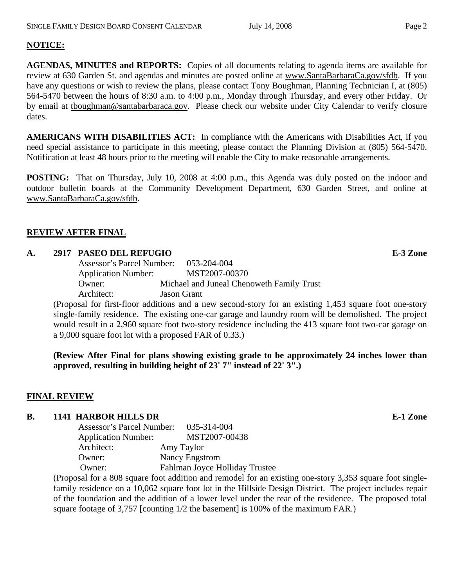### **NOTICE:**

**AGENDAS, MINUTES and REPORTS:** Copies of all documents relating to agenda items are available for review at 630 Garden St. and agendas and minutes are posted online at www.SantaBarbaraCa.gov/sfdb. If you have any questions or wish to review the plans, please contact Tony Boughman, Planning Technician I, at (805) 564-5470 between the hours of 8:30 a.m. to 4:00 p.m., Monday through Thursday, and every other Friday. Or by email at tboughman@santabarbaraca.gov. Please check our website under City Calendar to verify closure dates.

**AMERICANS WITH DISABILITIES ACT:** In compliance with the Americans with Disabilities Act, if you need special assistance to participate in this meeting, please contact the Planning Division at (805) 564-5470. Notification at least 48 hours prior to the meeting will enable the City to make reasonable arrangements.

**POSTING:** That on Thursday, July 10, 2008 at 4:00 p.m., this Agenda was duly posted on the indoor and outdoor bulletin boards at the Community Development Department, 630 Garden Street, and online at www.SantaBarbaraCa.gov/sfdb.

#### **REVIEW AFTER FINAL**

#### **A. 2917 PASEO DEL REFUGIO E-3 Zone**

 Assessor's Parcel Number: 053-204-004 Application Number: MST2007-00370 Owner: Michael and Juneal Chenoweth Family Trust Architect: Jason Grant

(Proposal for first-floor additions and a new second-story for an existing 1,453 square foot one-story single-family residence. The existing one-car garage and laundry room will be demolished. The project would result in a 2,960 square foot two-story residence including the 413 square foot two-car garage on a 9,000 square foot lot with a proposed FAR of 0.33.)

**(Review After Final for plans showing existing grade to be approximately 24 inches lower than approved, resulting in building height of 23' 7" instead of 22' 3".)** 

#### **FINAL REVIEW**

## **B.** 1141 HARBOR HILLS DR **E-1** Zone

| <b>Assessor's Parcel Number:</b> | 035-314-004                    |
|----------------------------------|--------------------------------|
| <b>Application Number:</b>       | MST2007-00438                  |
| Architect:                       | Amy Taylor                     |
| Owner:                           | Nancy Engstrom                 |
| Owner:                           | Fahlman Joyce Holliday Trustee |

(Proposal for a 808 square foot addition and remodel for an existing one-story 3,353 square foot singlefamily residence on a 10,062 square foot lot in the Hillside Design District. The project includes repair of the foundation and the addition of a lower level under the rear of the residence. The proposed total square footage of 3,757 [counting  $1/2$  the basement] is 100% of the maximum FAR.)